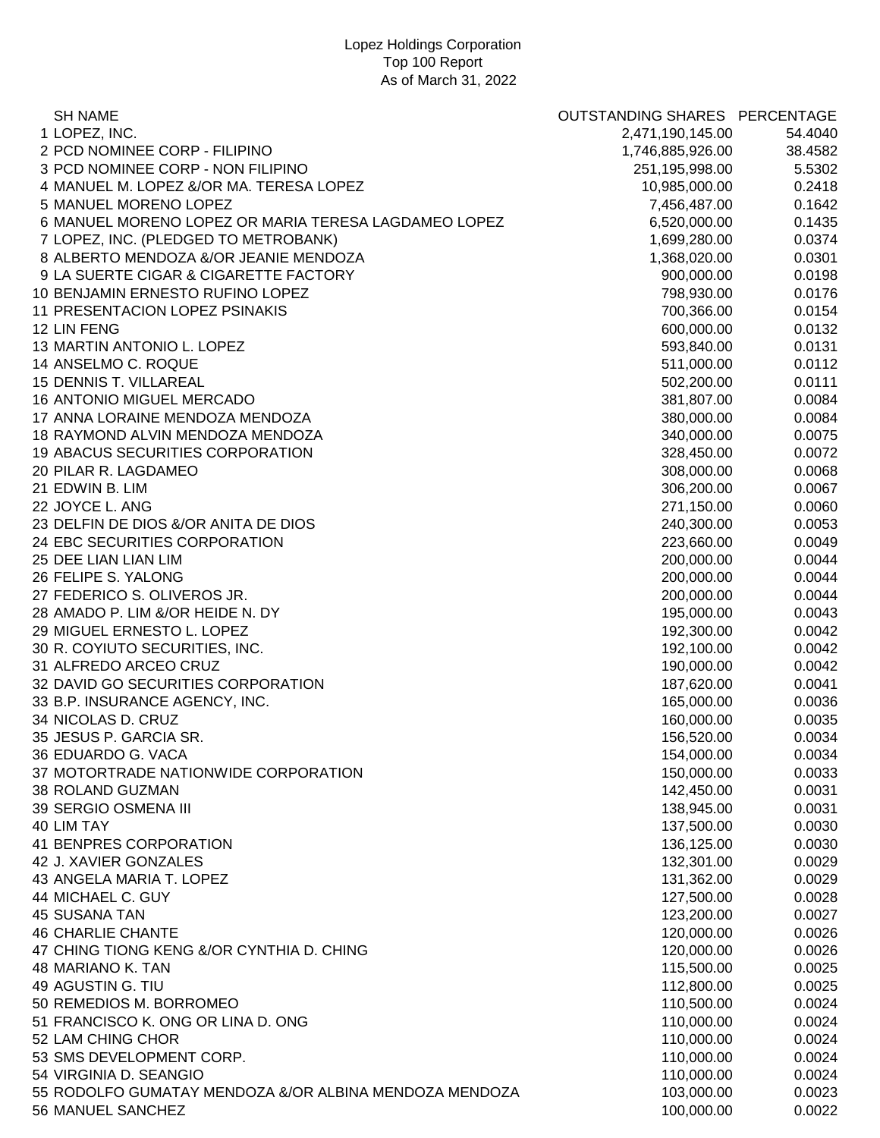| <b>SH NAME</b>                                         | OUTSTANDING SHARES PERCENTAGE |         |
|--------------------------------------------------------|-------------------------------|---------|
| 1 LOPEZ, INC.                                          | 2,471,190,145.00              | 54.4040 |
| 2 PCD NOMINEE CORP - FILIPINO                          | 1,746,885,926.00              | 38.4582 |
| 3 PCD NOMINEE CORP - NON FILIPINO                      | 251,195,998.00                | 5.5302  |
| 4 MANUEL M. LOPEZ &/OR MA. TERESA LOPEZ                | 10,985,000.00                 | 0.2418  |
| 5 MANUEL MORENO LOPEZ                                  | 7,456,487.00                  | 0.1642  |
| 6 MANUEL MORENO LOPEZ OR MARIA TERESA LAGDAMEO LOPEZ   | 6,520,000.00                  | 0.1435  |
| 7 LOPEZ, INC. (PLEDGED TO METROBANK)                   | 1,699,280.00                  | 0.0374  |
| 8 ALBERTO MENDOZA &/OR JEANIE MENDOZA                  | 1,368,020.00                  | 0.0301  |
| 9 LA SUERTE CIGAR & CIGARETTE FACTORY                  | 900,000.00                    | 0.0198  |
| 10 BENJAMIN ERNESTO RUFINO LOPEZ                       | 798,930.00                    | 0.0176  |
| 11 PRESENTACION LOPEZ PSINAKIS                         | 700,366.00                    | 0.0154  |
| 12 LIN FENG                                            | 600,000.00                    | 0.0132  |
| 13 MARTIN ANTONIO L. LOPEZ                             | 593,840.00                    | 0.0131  |
| 14 ANSELMO C. ROQUE                                    | 511,000.00                    | 0.0112  |
| <b>15 DENNIS T. VILLAREAL</b>                          | 502,200.00                    | 0.0111  |
| <b>16 ANTONIO MIGUEL MERCADO</b>                       | 381,807.00                    | 0.0084  |
| 17 ANNA LORAINE MENDOZA MENDOZA                        | 380,000.00                    | 0.0084  |
| 18 RAYMOND ALVIN MENDOZA MENDOZA                       | 340,000.00                    | 0.0075  |
| 19 ABACUS SECURITIES CORPORATION                       | 328,450.00                    | 0.0072  |
| 20 PILAR R. LAGDAMEO                                   | 308,000.00                    | 0.0068  |
| 21 EDWIN B. LIM                                        | 306,200.00                    | 0.0067  |
| 22 JOYCE L. ANG                                        | 271,150.00                    | 0.0060  |
| 23 DELFIN DE DIOS &/OR ANITA DE DIOS                   | 240,300.00                    | 0.0053  |
| 24 EBC SECURITIES CORPORATION                          | 223,660.00                    | 0.0049  |
| 25 DEE LIAN LIAN LIM                                   | 200,000.00                    | 0.0044  |
| 26 FELIPE S. YALONG                                    | 200,000.00                    | 0.0044  |
| 27 FEDERICO S. OLIVEROS JR.                            | 200,000.00                    | 0.0044  |
| 28 AMADO P. LIM &/OR HEIDE N. DY                       | 195,000.00                    | 0.0043  |
| 29 MIGUEL ERNESTO L. LOPEZ                             | 192,300.00                    | 0.0042  |
| 30 R. COYIUTO SECURITIES, INC.                         | 192,100.00                    | 0.0042  |
| 31 ALFREDO ARCEO CRUZ                                  | 190,000.00                    | 0.0042  |
| 32 DAVID GO SECURITIES CORPORATION                     | 187,620.00                    | 0.0041  |
| 33 B.P. INSURANCE AGENCY, INC.                         | 165,000.00                    | 0.0036  |
| 34 NICOLAS D. CRUZ                                     | 160,000.00                    | 0.0035  |
| 35 JESUS P. GARCIA SR.                                 | 156,520.00                    | 0.0034  |
| 36 EDUARDO G. VACA                                     | 154,000.00                    | 0.0034  |
| 37 MOTORTRADE NATIONWIDE CORPORATION                   | 150,000.00                    | 0.0033  |
| 38 ROLAND GUZMAN                                       | 142,450.00                    | 0.0031  |
| 39 SERGIO OSMENA III                                   | 138,945.00                    | 0.0031  |
| 40 LIM TAY                                             | 137,500.00                    | 0.0030  |
| <b>41 BENPRES CORPORATION</b>                          | 136,125.00                    | 0.0030  |
| 42 J. XAVIER GONZALES                                  | 132,301.00                    | 0.0029  |
| 43 ANGELA MARIA T. LOPEZ                               |                               | 0.0029  |
|                                                        | 131,362.00                    |         |
| 44 MICHAEL C. GUY                                      | 127,500.00                    | 0.0028  |
| 45 SUSANA TAN                                          | 123,200.00                    | 0.0027  |
| <b>46 CHARLIE CHANTE</b>                               | 120,000.00                    | 0.0026  |
| 47 CHING TIONG KENG &/OR CYNTHIA D. CHING              | 120,000.00                    | 0.0026  |
| 48 MARIANO K. TAN                                      | 115,500.00                    | 0.0025  |
| 49 AGUSTIN G. TIU                                      | 112,800.00                    | 0.0025  |
| 50 REMEDIOS M. BORROMEO                                | 110,500.00                    | 0.0024  |
| 51 FRANCISCO K. ONG OR LINA D. ONG                     | 110,000.00                    | 0.0024  |
| 52 LAM CHING CHOR                                      | 110,000.00                    | 0.0024  |
| 53 SMS DEVELOPMENT CORP.                               | 110,000.00                    | 0.0024  |
| 54 VIRGINIA D. SEANGIO                                 | 110,000.00                    | 0.0024  |
| 55 RODOLFO GUMATAY MENDOZA &/OR ALBINA MENDOZA MENDOZA | 103,000.00                    | 0.0023  |
| 56 MANUEL SANCHEZ                                      | 100,000.00                    | 0.0022  |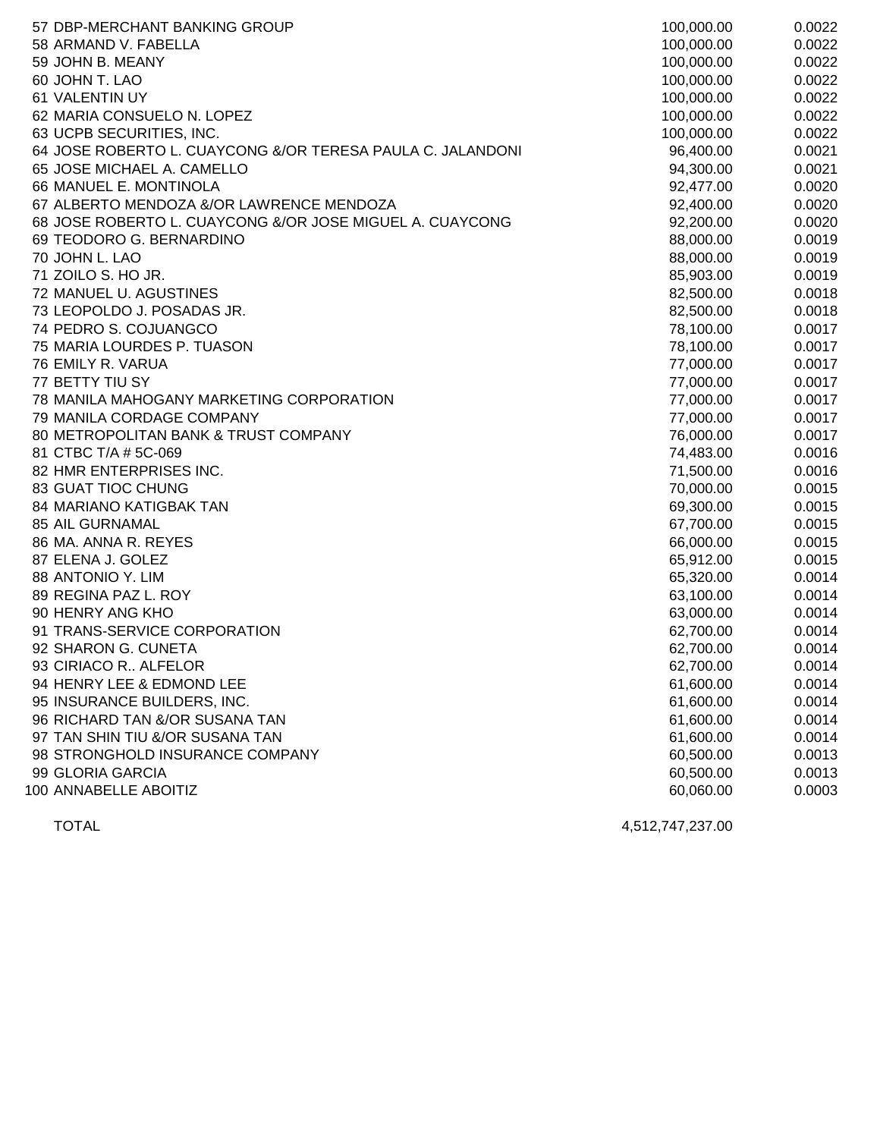| 57 DBP-MERCHANT BANKING GROUP                              | 100,000.00 | 0.0022 |
|------------------------------------------------------------|------------|--------|
| 58 ARMAND V. FABELLA                                       | 100,000.00 | 0.0022 |
| 59 JOHN B. MEANY                                           | 100,000.00 | 0.0022 |
| 60 JOHN T. LAO                                             | 100,000.00 | 0.0022 |
| 61 VALENTIN UY                                             | 100,000.00 | 0.0022 |
| 62 MARIA CONSUELO N. LOPEZ                                 | 100,000.00 | 0.0022 |
| 63 UCPB SECURITIES, INC.                                   | 100,000.00 | 0.0022 |
| 64 JOSE ROBERTO L. CUAYCONG &/OR TERESA PAULA C. JALANDONI | 96,400.00  | 0.0021 |
| 65 JOSE MICHAEL A. CAMELLO                                 | 94,300.00  | 0.0021 |
| 66 MANUEL E. MONTINOLA                                     | 92,477.00  | 0.0020 |
| 67 ALBERTO MENDOZA &/OR LAWRENCE MENDOZA                   | 92,400.00  | 0.0020 |
| 68 JOSE ROBERTO L. CUAYCONG &/OR JOSE MIGUEL A. CUAYCONG   | 92,200.00  | 0.0020 |
| 69 TEODORO G. BERNARDINO                                   | 88,000.00  | 0.0019 |
| 70 JOHN L. LAO                                             | 88,000.00  | 0.0019 |
| 71 ZOILO S. HO JR.                                         | 85,903.00  | 0.0019 |
| 72 MANUEL U. AGUSTINES                                     | 82,500.00  | 0.0018 |
| 73 LEOPOLDO J. POSADAS JR.                                 | 82,500.00  | 0.0018 |
| 74 PEDRO S. COJUANGCO                                      | 78,100.00  | 0.0017 |
| 75 MARIA LOURDES P. TUASON                                 | 78,100.00  | 0.0017 |
| 76 EMILY R. VARUA                                          | 77,000.00  | 0.0017 |
| 77 BETTY TIU SY                                            | 77,000.00  | 0.0017 |
| 78 MANILA MAHOGANY MARKETING CORPORATION                   | 77,000.00  | 0.0017 |
| 79 MANILA CORDAGE COMPANY                                  | 77,000.00  | 0.0017 |
| 80 METROPOLITAN BANK & TRUST COMPANY                       | 76,000.00  | 0.0017 |
| 81 CTBC T/A # 5C-069                                       | 74,483.00  | 0.0016 |
| 82 HMR ENTERPRISES INC.                                    | 71,500.00  | 0.0016 |
| 83 GUAT TIOC CHUNG                                         | 70,000.00  | 0.0015 |
| 84 MARIANO KATIGBAK TAN                                    | 69,300.00  | 0.0015 |
| 85 AIL GURNAMAL                                            | 67,700.00  | 0.0015 |
| 86 MA. ANNA R. REYES                                       | 66,000.00  | 0.0015 |
| 87 ELENA J. GOLEZ                                          | 65,912.00  | 0.0015 |
| 88 ANTONIO Y. LIM                                          | 65,320.00  | 0.0014 |
| 89 REGINA PAZ L. ROY                                       | 63,100.00  | 0.0014 |
| 90 HENRY ANG KHO                                           | 63,000.00  | 0.0014 |
| 91 TRANS-SERVICE CORPORATION                               | 62,700.00  | 0.0014 |
| 92 SHARON G. CUNETA                                        | 62,700.00  | 0.0014 |
| 93 CIRIACO R., ALFELOR                                     | 62,700.00  | 0.0014 |
| 94 HENRY LEE & EDMOND LEE                                  | 61,600.00  | 0.0014 |
| 95 INSURANCE BUILDERS, INC.                                | 61,600.00  | 0.0014 |
| 96 RICHARD TAN &/OR SUSANA TAN                             | 61,600.00  | 0.0014 |
| 97 TAN SHIN TIU &/OR SUSANA TAN                            | 61,600.00  | 0.0014 |
| 98 STRONGHOLD INSURANCE COMPANY                            | 60,500.00  | 0.0013 |
| 99 GLORIA GARCIA                                           | 60,500.00  | 0.0013 |
| 100 ANNABELLE ABOITIZ                                      | 60,060.00  | 0.0003 |
|                                                            |            |        |

TOTAL 4,512,747,237.00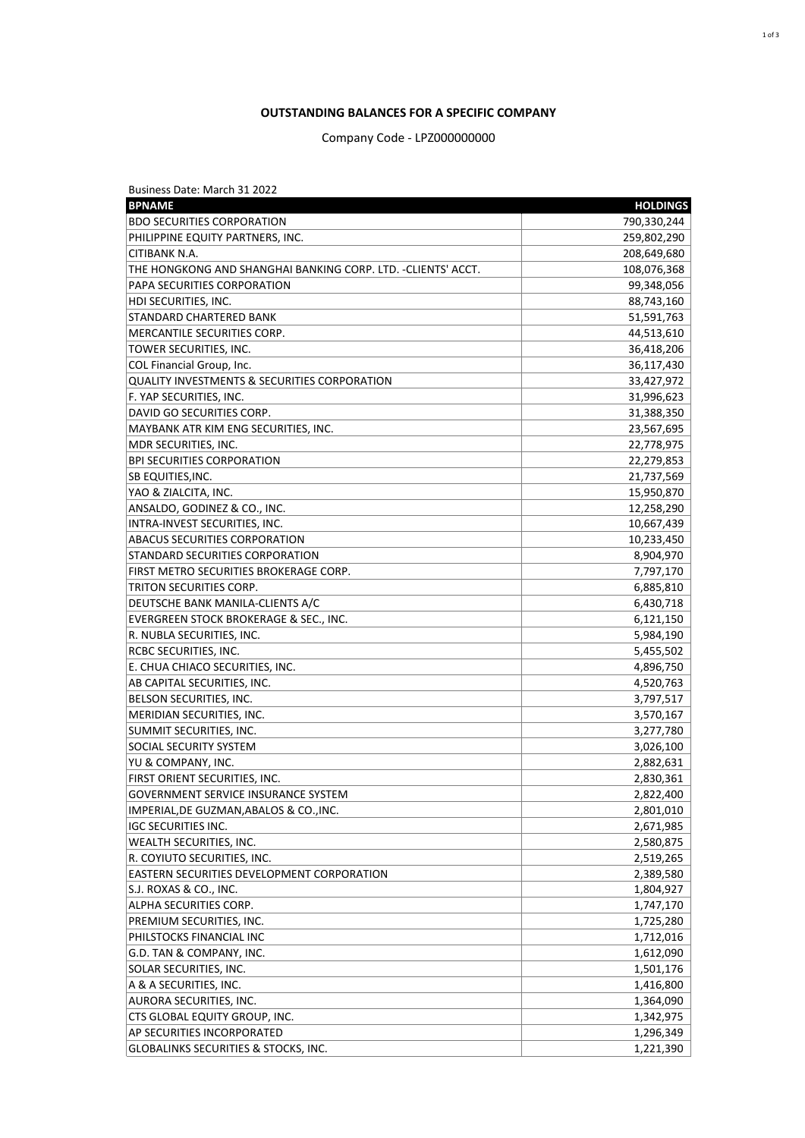## **OUTSTANDING BALANCES FOR A SPECIFIC COMPANY**

## Company Code - LPZ000000000

| Business Date: March 31 2022                                 |                 |
|--------------------------------------------------------------|-----------------|
| <b>BPNAME</b>                                                | <b>HOLDINGS</b> |
| <b>BDO SECURITIES CORPORATION</b>                            | 790,330,244     |
| PHILIPPINE EQUITY PARTNERS, INC.                             | 259,802,290     |
| CITIBANK N.A.                                                | 208,649,680     |
| THE HONGKONG AND SHANGHAI BANKING CORP. LTD. -CLIENTS' ACCT. | 108,076,368     |
| PAPA SECURITIES CORPORATION                                  | 99,348,056      |
| HDI SECURITIES, INC.                                         | 88,743,160      |
| STANDARD CHARTERED BANK                                      | 51,591,763      |
| MERCANTILE SECURITIES CORP.                                  | 44,513,610      |
| <b>TOWER SECURITIES, INC.</b>                                | 36,418,206      |
| COL Financial Group, Inc.                                    | 36,117,430      |
| QUALITY INVESTMENTS & SECURITIES CORPORATION                 | 33,427,972      |
| F. YAP SECURITIES, INC.                                      | 31,996,623      |
| DAVID GO SECURITIES CORP.                                    | 31,388,350      |
| MAYBANK ATR KIM ENG SECURITIES, INC.                         | 23,567,695      |
| MDR SECURITIES, INC.                                         | 22,778,975      |
| <b>BPI SECURITIES CORPORATION</b>                            | 22,279,853      |
| <b>SB EQUITIES, INC.</b>                                     | 21,737,569      |
| YAO & ZIALCITA, INC.                                         | 15,950,870      |
| ANSALDO, GODINEZ & CO., INC.                                 | 12,258,290      |
| INTRA-INVEST SECURITIES, INC.                                | 10,667,439      |
| <b>ABACUS SECURITIES CORPORATION</b>                         | 10,233,450      |
| STANDARD SECURITIES CORPORATION                              | 8,904,970       |
| FIRST METRO SECURITIES BROKERAGE CORP.                       |                 |
|                                                              | 7,797,170       |
| TRITON SECURITIES CORP.                                      | 6,885,810       |
| DEUTSCHE BANK MANILA-CLIENTS A/C                             | 6,430,718       |
| EVERGREEN STOCK BROKERAGE & SEC., INC.                       | 6,121,150       |
| R. NUBLA SECURITIES, INC.                                    | 5,984,190       |
| <b>RCBC SECURITIES, INC.</b>                                 | 5,455,502       |
| E. CHUA CHIACO SECURITIES, INC.                              | 4,896,750       |
| AB CAPITAL SECURITIES, INC.                                  | 4,520,763       |
| BELSON SECURITIES, INC.                                      | 3,797,517       |
| MERIDIAN SECURITIES, INC.                                    | 3,570,167       |
| SUMMIT SECURITIES, INC.                                      | 3,277,780       |
| <b>SOCIAL SECURITY SYSTEM</b>                                | 3,026,100       |
| YU & COMPANY, INC.                                           | 2,882,631       |
| <b>FIRST ORIENT SECURITIES, INC.</b>                         | 2,830,361       |
| GOVERNMENT SERVICE INSURANCE SYSTEM                          | 2,822,400       |
| IMPERIAL, DE GUZMAN, ABALOS & CO., INC.                      | 2,801,010       |
| <b>IGC SECURITIES INC.</b>                                   | 2,671,985       |
| WEALTH SECURITIES, INC.                                      | 2,580,875       |
| R. COYIUTO SECURITIES, INC.                                  | 2,519,265       |
| EASTERN SECURITIES DEVELOPMENT CORPORATION                   | 2,389,580       |
| S.J. ROXAS & CO., INC.                                       | 1,804,927       |
| ALPHA SECURITIES CORP.                                       | 1,747,170       |
| PREMIUM SECURITIES, INC.                                     | 1,725,280       |
| PHILSTOCKS FINANCIAL INC                                     | 1,712,016       |
| G.D. TAN & COMPANY, INC.                                     | 1,612,090       |
| SOLAR SECURITIES, INC.                                       | 1,501,176       |
| A & A SECURITIES, INC.                                       | 1,416,800       |
| AURORA SECURITIES, INC.                                      | 1,364,090       |
| CTS GLOBAL EQUITY GROUP, INC.                                | 1,342,975       |
| AP SECURITIES INCORPORATED                                   | 1,296,349       |
| <b>GLOBALINKS SECURITIES &amp; STOCKS, INC.</b>              | 1,221,390       |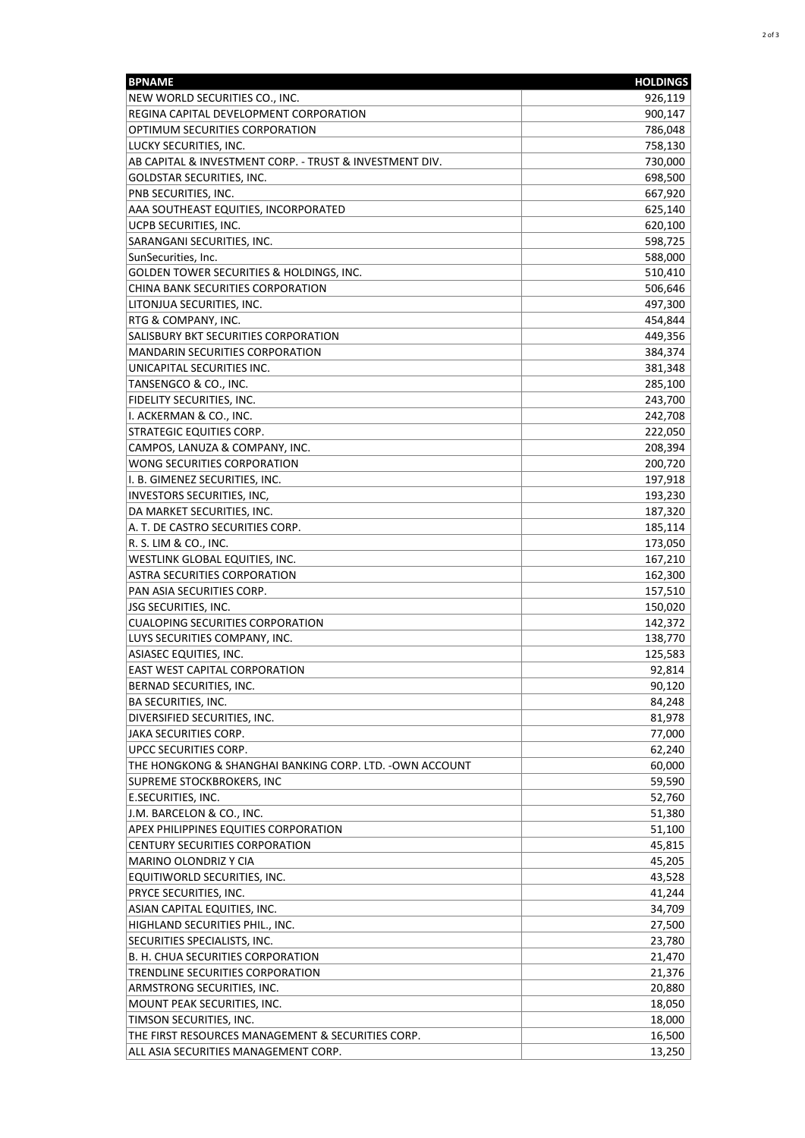| <b>BPNAME</b>                                           | <b>HOLDINGS</b> |
|---------------------------------------------------------|-----------------|
| NEW WORLD SECURITIES CO., INC.                          | 926,119         |
| REGINA CAPITAL DEVELOPMENT CORPORATION                  | 900,147         |
| OPTIMUM SECURITIES CORPORATION                          | 786,048         |
| LUCKY SECURITIES, INC.                                  | 758,130         |
| AB CAPITAL & INVESTMENT CORP. - TRUST & INVESTMENT DIV. | 730,000         |
| <b>GOLDSTAR SECURITIES, INC.</b>                        | 698,500         |
| PNB SECURITIES, INC.                                    | 667,920         |
| AAA SOUTHEAST EQUITIES, INCORPORATED                    | 625,140         |
| UCPB SECURITIES, INC.                                   | 620,100         |
| SARANGANI SECURITIES, INC.                              | 598,725         |
| SunSecurities, Inc.                                     | 588,000         |
| GOLDEN TOWER SECURITIES & HOLDINGS, INC.                | 510,410         |
| CHINA BANK SECURITIES CORPORATION                       | 506,646         |
| LITONJUA SECURITIES, INC.                               | 497,300         |
| RTG & COMPANY, INC.                                     | 454,844         |
| SALISBURY BKT SECURITIES CORPORATION                    | 449,356         |
| <b>MANDARIN SECURITIES CORPORATION</b>                  | 384,374         |
| UNICAPITAL SECURITIES INC.                              | 381,348         |
| TANSENGCO & CO., INC.                                   | 285,100         |
| FIDELITY SECURITIES, INC.                               | 243,700         |
| I. ACKERMAN & CO., INC.                                 | 242,708         |
| STRATEGIC EQUITIES CORP.                                | 222,050         |
| CAMPOS, LANUZA & COMPANY, INC.                          | 208,394         |
| WONG SECURITIES CORPORATION                             | 200,720         |
| I. B. GIMENEZ SECURITIES, INC.                          | 197,918         |
| INVESTORS SECURITIES, INC,                              | 193,230         |
| DA MARKET SECURITIES, INC.                              | 187,320         |
| A. T. DE CASTRO SECURITIES CORP.                        | 185,114         |
| R. S. LIM & CO., INC.                                   | 173,050         |
| WESTLINK GLOBAL EQUITIES, INC.                          | 167,210         |
| ASTRA SECURITIES CORPORATION                            | 162,300         |
| PAN ASIA SECURITIES CORP.                               | 157,510         |
| <b>JSG SECURITIES, INC.</b>                             | 150,020         |
| <b>CUALOPING SECURITIES CORPORATION</b>                 | 142,372         |
| LUYS SECURITIES COMPANY, INC.                           | 138,770         |
| ASIASEC EQUITIES, INC.                                  | 125,583         |
| EAST WEST CAPITAL CORPORATION                           | 92,814          |
| BERNAD SECURITIES, INC.                                 | 90,120          |
| <b>BA SECURITIES, INC.</b>                              | 84,248          |
| DIVERSIFIED SECURITIES, INC.                            | 81,978          |
| JAKA SECURITIES CORP.                                   | 77,000          |
| UPCC SECURITIES CORP.                                   | 62,240          |
| THE HONGKONG & SHANGHAI BANKING CORP. LTD. -OWN ACCOUNT | 60,000          |
| SUPREME STOCKBROKERS, INC                               | 59,590          |
| E.SECURITIES, INC.                                      | 52,760          |
| J.M. BARCELON & CO., INC.                               | 51,380          |
| APEX PHILIPPINES EQUITIES CORPORATION                   | 51,100          |
| CENTURY SECURITIES CORPORATION                          | 45,815          |
| MARINO OLONDRIZ Y CIA                                   | 45,205          |
| EQUITIWORLD SECURITIES, INC.                            | 43,528          |
| PRYCE SECURITIES, INC.                                  | 41,244          |
| ASIAN CAPITAL EQUITIES, INC.                            | 34,709          |
| HIGHLAND SECURITIES PHIL., INC.                         | 27,500          |
| SECURITIES SPECIALISTS, INC.                            | 23,780          |
| B. H. CHUA SECURITIES CORPORATION                       | 21,470          |
| TRENDLINE SECURITIES CORPORATION                        | 21,376          |
| ARMSTRONG SECURITIES, INC.                              | 20,880          |
| MOUNT PEAK SECURITIES, INC.                             | 18,050          |
| TIMSON SECURITIES, INC.                                 | 18,000          |
| THE FIRST RESOURCES MANAGEMENT & SECURITIES CORP.       | 16,500          |
| ALL ASIA SECURITIES MANAGEMENT CORP.                    | 13,250          |